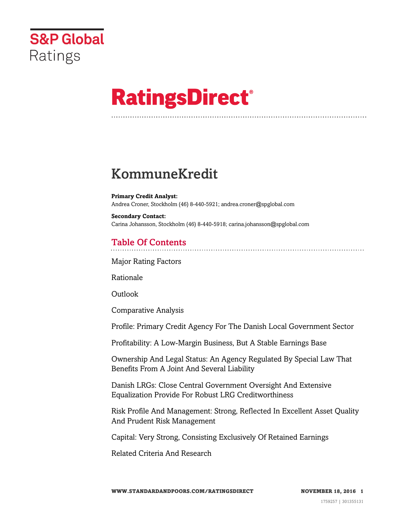

# **RatingsDirect®**

# KommuneKredit

**Primary Credit Analyst:** Andrea Croner, Stockholm (46) 8-440-5921; andrea.croner@spglobal.com

**Secondary Contact:** Carina Johansson, Stockholm (46) 8-440-5918; carina.johansson@spglobal.com

# Table Of Contents

[Major Rating Factors](#page-1-0)

[Rationale](#page-1-1)

Outlook

[Comparative Analysis](#page-3-0)

[Profile: Primary Credit Agency For The Danish Local Government Sector](#page-4-0)

[Profitability: A Low-Margin Business, But A Stable Earnings Base](#page-5-0)

[Ownership And Legal Status: An Agency Regulated By Special Law That](#page-5-1) [Benefits From A Joint And Several Liability](#page-5-1)

[Danish LRGs: Close Central Government Oversight And Extensive](#page-6-0) [Equalization Provide For Robust LRG Creditworthiness](#page-6-0)

[Risk Profile And Management: Strong, Reflected In Excellent Asset Quality](#page-6-1) [And Prudent Risk Management](#page-6-1)

[Capital: Very Strong, Consisting Exclusively Of Retained Earnings](#page-9-0)

[Related Criteria And Research](#page-11-0)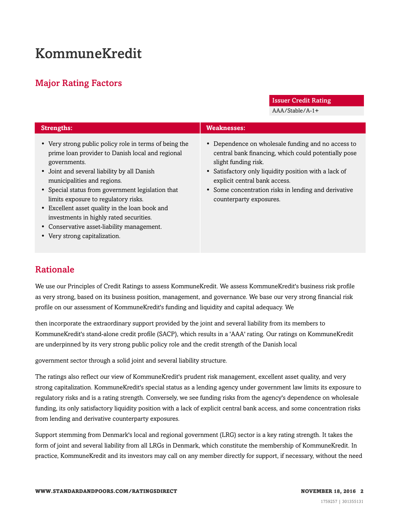# KommuneKredit

# <span id="page-1-0"></span>Major Rating Factors

Issuer Credit Rating

AAA/Stable/A-1+

| <b>Strengths:</b>                                                                                                                                                                                                                                                                                                                                                                                                                                                                 | <b>Weaknesses:</b>                                                                                                                                                                                                                                                                                              |
|-----------------------------------------------------------------------------------------------------------------------------------------------------------------------------------------------------------------------------------------------------------------------------------------------------------------------------------------------------------------------------------------------------------------------------------------------------------------------------------|-----------------------------------------------------------------------------------------------------------------------------------------------------------------------------------------------------------------------------------------------------------------------------------------------------------------|
| • Very strong public policy role in terms of being the<br>prime loan provider to Danish local and regional<br>governments.<br>• Joint and several liability by all Danish<br>municipalities and regions.<br>• Special status from government legislation that<br>limits exposure to regulatory risks.<br>• Excellent asset quality in the loan book and<br>investments in highly rated securities.<br>• Conservative asset-liability management.<br>• Very strong capitalization. | • Dependence on wholesale funding and no access to<br>central bank financing, which could potentially pose<br>slight funding risk.<br>• Satisfactory only liquidity position with a lack of<br>explicit central bank access.<br>• Some concentration risks in lending and derivative<br>counterparty exposures. |

# <span id="page-1-1"></span>Rationale

We use our Principles of Credit Ratings to assess KommuneKredit. We assess KommuneKredit's business risk profile as very strong, based on its business position, management, and governance. We base our very strong financial risk profile on our assessment of KommuneKredit's funding and liquidity and capital adequacy. We

then incorporate the extraordinary support provided by the joint and several liability from its members to KommuneKredit's stand-alone credit profile (SACP), which results in a 'AAA' rating. Our ratings on KommuneKredit are underpinned by its very strong public policy role and the credit strength of the Danish local

government sector through a solid joint and several liability structure.

The ratings also reflect our view of KommuneKredit's prudent risk management, excellent asset quality, and very strong capitalization. KommuneKredit's special status as a lending agency under government law limits its exposure to regulatory risks and is a rating strength. Conversely, we see funding risks from the agency's dependence on wholesale funding, its only satisfactory liquidity position with a lack of explicit central bank access, and some concentration risks from lending and derivative counterparty exposures.

Support stemming from Denmark's local and regional government (LRG) sector is a key rating strength. It takes the form of joint and several liability from all LRGs in Denmark, which constitute the membership of KommuneKredit. In practice, KommuneKredit and its investors may call on any member directly for support, if necessary, without the need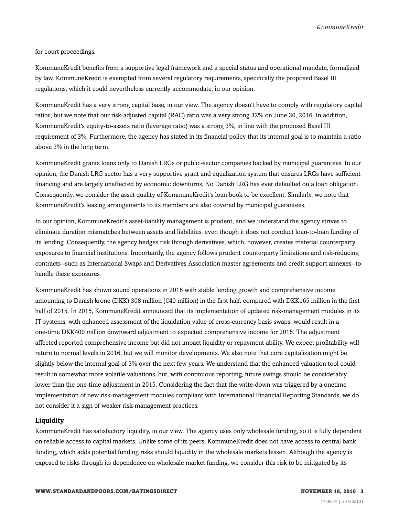for court proceedings.

KommuneKredit benefits from a supportive legal framework and a special status and operational mandate, formalized by law. KommuneKredit is exempted from several regulatory requirements, specifically the proposed Basel III regulations, which it could nevertheless currently accommodate, in our opinion.

KommuneKredit has a very strong capital base, in our view. The agency doesn't have to comply with regulatory capital ratios, but we note that our risk-adjusted capital (RAC) ratio was a very strong 32% on June 30, 2016. In addition, KommuneKredit's equity-to-assets ratio (leverage ratio) was a strong 3%, in line with the proposed Basel III requirement of 3%. Furthermore, the agency has stated in its financial policy that its internal goal is to maintain a ratio above 3% in the long term.

KommuneKredit grants loans only to Danish LRGs or public-sector companies backed by municipal guarantees. In our opinion, the Danish LRG sector has a very supportive grant and equalization system that ensures LRGs have sufficient financing and are largely unaffected by economic downturns. No Danish LRG has ever defaulted on a loan obligation. Consequently, we consider the asset quality of KommuneKredit's loan book to be excellent. Similarly, we note that KommuneKredit's leasing arrangements to its members are also covered by municipal guarantees.

In our opinion, KommuneKredit's asset-liability management is prudent, and we understand the agency strives to eliminate duration mismatches between assets and liabilities, even though it does not conduct loan-to-loan funding of its lending. Consequently, the agency hedges risk through derivatives, which, however, creates material counterparty exposures to financial institutions. Importantly, the agency follows prudent counterparty limitations and risk-reducing contracts--such as International Swaps and Derivatives Association master agreements and credit support annexes--to handle these exposures.

KommuneKredit has shown sound operations in 2016 with stable lending growth and comprehensive income amounting to Danish krone (DKK) 308 million (€40 million) in the first half, compared with DKK165 million in the first half of 2015. In 2015, KommuneKredit announced that its implementation of updated risk-management modules in its IT systems, with enhanced assessment of the liquidation value of cross-currency basis swaps, would result in a one-time DKK400 million downward adjustment to expected comprehensive income for 2015. The adjustment affected reported comprehensive income but did not impact liquidity or repayment ability. We expect profitability will return to normal levels in 2016, but we will monitor developments. We also note that core capitalization might be slightly below the internal goal of 3% over the next few years. We understand that the enhanced valuation tool could result in somewhat more volatile valuations, but, with continuous reporting, future swings should be considerably lower than the one-time adjustment in 2015. Considering the fact that the write-down was triggered by a onetime implementation of new risk-management modules compliant with International Financial Reporting Standards, we do not consider it a sign of weaker risk-management practices.

#### Liquidity

KommuneKredit has satisfactory liquidity, in our view. The agency uses only wholesale funding, so it is fully dependent on reliable access to capital markets. Unlike some of its peers, KommuneKredit does not have access to central bank funding, which adds potential funding risks should liquidity in the wholesale markets lessen. Although the agency is exposed to risks through its dependence on wholesale market funding, we consider this risk to be mitigated by its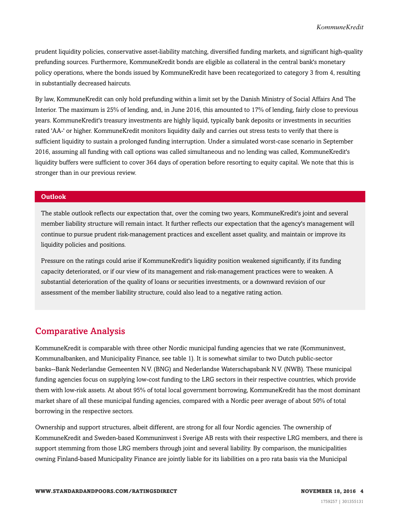prudent liquidity policies, conservative asset-liability matching, diversified funding markets, and significant high-quality prefunding sources. Furthermore, KommuneKredit bonds are eligible as collateral in the central bank's monetary policy operations, where the bonds issued by KommuneKredit have been recategorized to category 3 from 4, resulting in substantially decreased haircuts.

By law, KommuneKredit can only hold prefunding within a limit set by the Danish Ministry of Social Affairs And The Interior. The maximum is 25% of lending, and, in June 2016, this amounted to 17% of lending, fairly close to previous years. KommuneKredit's treasury investments are highly liquid, typically bank deposits or investments in securities rated 'AA-' or higher. KommuneKredit monitors liquidity daily and carries out stress tests to verify that there is sufficient liquidity to sustain a prolonged funding interruption. Under a simulated worst-case scenario in September 2016, assuming all funding with call options was called simultaneous and no lending was called, KommuneKredit's liquidity buffers were sufficient to cover 364 days of operation before resorting to equity capital. We note that this is stronger than in our previous review.

#### **Outlook**

The stable outlook reflects our expectation that, over the coming two years, KommuneKredit's joint and several member liability structure will remain intact. It further reflects our expectation that the agency's management will continue to pursue prudent risk-management practices and excellent asset quality, and maintain or improve its liquidity policies and positions.

Pressure on the ratings could arise if KommuneKredit's liquidity position weakened significantly, if its funding capacity deteriorated, or if our view of its management and risk-management practices were to weaken. A substantial deterioration of the quality of loans or securities investments, or a downward revision of our assessment of the member liability structure, could also lead to a negative rating action.

### <span id="page-3-0"></span>Comparative Analysis

KommuneKredit is comparable with three other Nordic municipal funding agencies that we rate (Kommuninvest, Kommunalbanken, and Municipality Finance, see table 1). It is somewhat similar to two Dutch public-sector banks--Bank Nederlandse Gemeenten N.V. (BNG) and Nederlandse Waterschapsbank N.V. (NWB). These municipal funding agencies focus on supplying low-cost funding to the LRG sectors in their respective countries, which provide them with low-risk assets. At about 95% of total local government borrowing, KommuneKredit has the most dominant market share of all these municipal funding agencies, compared with a Nordic peer average of about 50% of total borrowing in the respective sectors.

Ownership and support structures, albeit different, are strong for all four Nordic agencies. The ownership of KommuneKredit and Sweden-based Kommuninvest i Sverige AB rests with their respective LRG members, and there is support stemming from those LRG members through joint and several liability. By comparison, the municipalities owning Finland-based Municipality Finance are jointly liable for its liabilities on a pro rata basis via the Municipal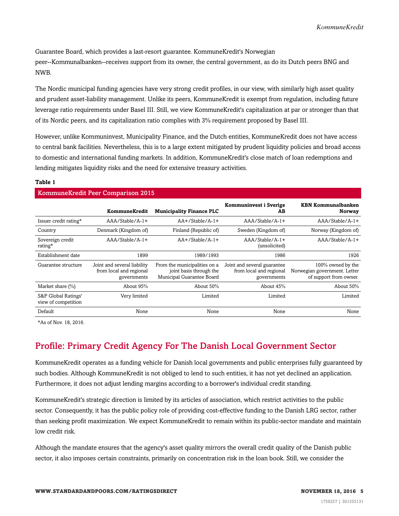Guarantee Board, which provides a last-resort guarantee. KommuneKredit's Norwegian

peer--Kommunalbanken--receives support from its owner, the central government, as do its Dutch peers BNG and NWB.

The Nordic municipal funding agencies have very strong credit profiles, in our view, with similarly high asset quality and prudent asset-liability management. Unlike its peers, KommuneKredit is exempt from regulation, including future leverage ratio requirements under Basel III. Still, we view KommuneKredit's capitalization at par or stronger than that of its Nordic peers, and its capitalization ratio complies with 3% requirement proposed by Basel III.

However, unlike Kommuninvest, Municipality Finance, and the Dutch entities, KommuneKredit does not have access to central bank facilities. Nevertheless, this is to a large extent mitigated by prudent liquidity policies and broad access to domestic and international funding markets. In addition, KommuneKredit's close match of loan redemptions and lending mitigates liquidity risks and the need for extensive treasury activities.

#### **Table 1**

#### KommuneKredit Peer Comparison 2015

|                                            | KommuneKredit                                                         | <b>Municipality Finance PLC</b>                                                      | Kommuninvest i Sverige<br>AВ                                          | <b>KBN Kommunalbanken</b><br>Norway                                         |
|--------------------------------------------|-----------------------------------------------------------------------|--------------------------------------------------------------------------------------|-----------------------------------------------------------------------|-----------------------------------------------------------------------------|
| Issuer credit rating*                      | $AA/Stable/A-1+$                                                      | $AA+$ /Stable/A-1+                                                                   | $AA/Stable/A-1+$                                                      | AAA/Stable/A-1+                                                             |
| Country                                    | Denmark (Kingdom of)                                                  | Finland (Republic of)                                                                | Sweden (Kingdom of)                                                   | Norway (Kingdom of)                                                         |
| Sovereign credit<br>rating*                | $AA/Stable/A-1+$                                                      | $AA+$ /Stable/A-1+                                                                   | $AA/Stable/A-1+$<br>(unsolicited)                                     | AAA/Stable/A-1+                                                             |
| Establishment date                         | 1899                                                                  | 1989/1993                                                                            | 1986                                                                  | 1926                                                                        |
| Guarantee structure                        | Joint and several liability<br>from local and regional<br>governments | From the municipalities on a<br>joint basis through the<br>Municipal Guarantee Board | Joint and several guarantee<br>from local and regional<br>governments | 100% owned by the<br>Norwegian government. Letter<br>of support from owner. |
| Market share (%)                           | About 95%                                                             | About 50%                                                                            | About $45%$                                                           | About 50%                                                                   |
| S&P Global Ratings'<br>view of competition | Very limited                                                          | Limited                                                                              | Limited                                                               | Limited                                                                     |
| Default                                    | None                                                                  | None                                                                                 | None                                                                  | None                                                                        |

<span id="page-4-0"></span>\*As of Nov. 18, 2016.

# Profile: Primary Credit Agency For The Danish Local Government Sector

KommuneKredit operates as a funding vehicle for Danish local governments and public enterprises fully guaranteed by such bodies. Although KommuneKredit is not obliged to lend to such entities, it has not yet declined an application. Furthermore, it does not adjust lending margins according to a borrower's individual credit standing.

KommuneKredit's strategic direction is limited by its articles of association, which restrict activities to the public sector. Consequently, it has the public policy role of providing cost-effective funding to the Danish LRG sector, rather than seeking profit maximization. We expect KommuneKredit to remain within its public-sector mandate and maintain low credit risk.

Although the mandate ensures that the agency's asset quality mirrors the overall credit quality of the Danish public sector, it also imposes certain constraints, primarily on concentration risk in the loan book. Still, we consider the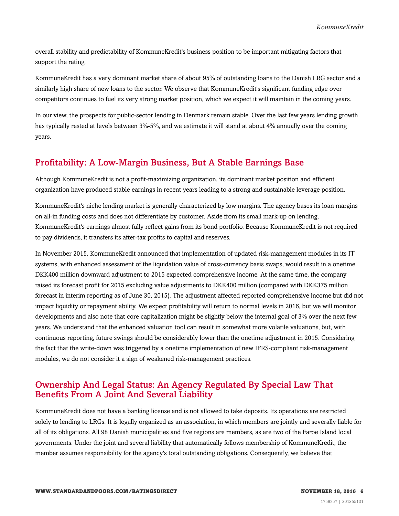overall stability and predictability of KommuneKredit's business position to be important mitigating factors that support the rating.

KommuneKredit has a very dominant market share of about 95% of outstanding loans to the Danish LRG sector and a similarly high share of new loans to the sector. We observe that KommuneKredit's significant funding edge over competitors continues to fuel its very strong market position, which we expect it will maintain in the coming years.

In our view, the prospects for public-sector lending in Denmark remain stable. Over the last few years lending growth has typically rested at levels between 3%-5%, and we estimate it will stand at about 4% annually over the coming years.

### <span id="page-5-0"></span>Profitability: A Low-Margin Business, But A Stable Earnings Base

Although KommuneKredit is not a profit-maximizing organization, its dominant market position and efficient organization have produced stable earnings in recent years leading to a strong and sustainable leverage position.

KommuneKredit's niche lending market is generally characterized by low margins. The agency bases its loan margins on all-in funding costs and does not differentiate by customer. Aside from its small mark-up on lending, KommuneKredit's earnings almost fully reflect gains from its bond portfolio. Because KommuneKredit is not required to pay dividends, it transfers its after-tax profits to capital and reserves.

In November 2015, KommuneKredit announced that implementation of updated risk-management modules in its IT systems, with enhanced assessment of the liquidation value of cross-currency basis swaps, would result in a onetime DKK400 million downward adjustment to 2015 expected comprehensive income. At the same time, the company raised its forecast profit for 2015 excluding value adjustments to DKK400 million (compared with DKK375 million forecast in interim reporting as of June 30, 2015). The adjustment affected reported comprehensive income but did not impact liquidity or repayment ability. We expect profitability will return to normal levels in 2016, but we will monitor developments and also note that core capitalization might be slightly below the internal goal of 3% over the next few years. We understand that the enhanced valuation tool can result in somewhat more volatile valuations, but, with continuous reporting, future swings should be considerably lower than the onetime adjustment in 2015. Considering the fact that the write-down was triggered by a onetime implementation of new IFRS-compliant risk-management modules, we do not consider it a sign of weakened risk-management practices.

## <span id="page-5-1"></span>Ownership And Legal Status: An Agency Regulated By Special Law That Benefits From A Joint And Several Liability

KommuneKredit does not have a banking license and is not allowed to take deposits. Its operations are restricted solely to lending to LRGs. It is legally organized as an association, in which members are jointly and severally liable for all of its obligations. All 98 Danish municipalities and five regions are members, as are two of the Faroe Island local governments. Under the joint and several liability that automatically follows membership of KommuneKredit, the member assumes responsibility for the agency's total outstanding obligations. Consequently, we believe that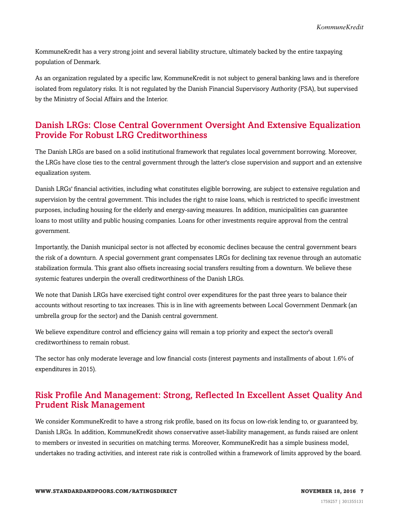KommuneKredit has a very strong joint and several liability structure, ultimately backed by the entire taxpaying population of Denmark.

As an organization regulated by a specific law, KommuneKredit is not subject to general banking laws and is therefore isolated from regulatory risks. It is not regulated by the Danish Financial Supervisory Authority (FSA), but supervised by the Ministry of Social Affairs and the Interior.

## <span id="page-6-0"></span>Danish LRGs: Close Central Government Oversight And Extensive Equalization Provide For Robust LRG Creditworthiness

The Danish LRGs are based on a solid institutional framework that regulates local government borrowing. Moreover, the LRGs have close ties to the central government through the latter's close supervision and support and an extensive equalization system.

Danish LRGs' financial activities, including what constitutes eligible borrowing, are subject to extensive regulation and supervision by the central government. This includes the right to raise loans, which is restricted to specific investment purposes, including housing for the elderly and energy-saving measures. In addition, municipalities can guarantee loans to most utility and public housing companies. Loans for other investments require approval from the central government.

Importantly, the Danish municipal sector is not affected by economic declines because the central government bears the risk of a downturn. A special government grant compensates LRGs for declining tax revenue through an automatic stabilization formula. This grant also offsets increasing social transfers resulting from a downturn. We believe these systemic features underpin the overall creditworthiness of the Danish LRGs.

We note that Danish LRGs have exercised tight control over expenditures for the past three years to balance their accounts without resorting to tax increases. This is in line with agreements between Local Government Denmark (an umbrella group for the sector) and the Danish central government.

We believe expenditure control and efficiency gains will remain a top priority and expect the sector's overall creditworthiness to remain robust.

The sector has only moderate leverage and low financial costs (interest payments and installments of about 1.6% of expenditures in 2015).

# <span id="page-6-1"></span>Risk Profile And Management: Strong, Reflected In Excellent Asset Quality And Prudent Risk Management

We consider KommuneKredit to have a strong risk profile, based on its focus on low-risk lending to, or guaranteed by, Danish LRGs. In addition, KommuneKredit shows conservative asset-liability management, as funds raised are onlent to members or invested in securities on matching terms. Moreover, KommuneKredit has a simple business model, undertakes no trading activities, and interest rate risk is controlled within a framework of limits approved by the board.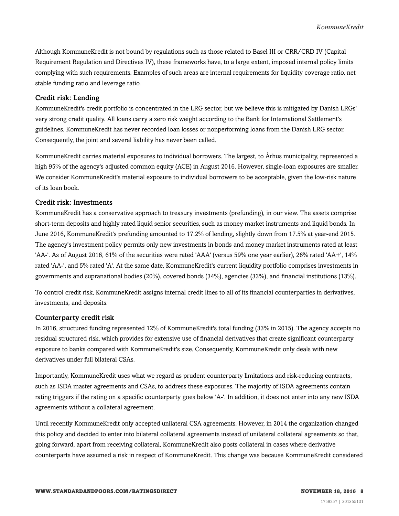Although KommuneKredit is not bound by regulations such as those related to Basel III or CRR/CRD IV (Capital Requirement Regulation and Directives IV), these frameworks have, to a large extent, imposed internal policy limits complying with such requirements. Examples of such areas are internal requirements for liquidity coverage ratio, net stable funding ratio and leverage ratio.

#### Credit risk: Lending

KommuneKredit's credit portfolio is concentrated in the LRG sector, but we believe this is mitigated by Danish LRGs' very strong credit quality. All loans carry a zero risk weight according to the Bank for International Settlement's guidelines. KommuneKredit has never recorded loan losses or nonperforming loans from the Danish LRG sector. Consequently, the joint and several liability has never been called.

KommuneKredit carries material exposures to individual borrowers. The largest, to Århus municipality, represented a high 95% of the agency's adjusted common equity (ACE) in August 2016. However, single-loan exposures are smaller. We consider KommuneKredit's material exposure to individual borrowers to be acceptable, given the low-risk nature of its loan book.

#### Credit risk: Investments

KommuneKredit has a conservative approach to treasury investments (prefunding), in our view. The assets comprise short-term deposits and highly rated liquid senior securities, such as money market instruments and liquid bonds. In June 2016, KommuneKredit's prefunding amounted to 17.2% of lending, slightly down from 17.5% at year-end 2015. The agency's investment policy permits only new investments in bonds and money market instruments rated at least 'AA-'. As of August 2016, 61% of the securities were rated 'AAA' (versus 59% one year earlier), 26% rated 'AA+', 14% rated 'AA-', and 5% rated 'A'. At the same date, KommuneKredit's current liquidity portfolio comprises investments in governments and supranational bodies (20%), covered bonds (34%), agencies (33%), and financial institutions (13%).

To control credit risk, KommuneKredit assigns internal credit lines to all of its financial counterparties in derivatives, investments, and deposits.

#### Counterparty credit risk

In 2016, structured funding represented 12% of KommuneKredit's total funding (33% in 2015). The agency accepts no residual structured risk, which provides for extensive use of financial derivatives that create significant counterparty exposure to banks compared with KommuneKredit's size. Consequently, KommuneKredit only deals with new derivatives under full bilateral CSAs.

Importantly, KommuneKredit uses what we regard as prudent counterparty limitations and risk-reducing contracts, such as ISDA master agreements and CSAs, to address these exposures. The majority of ISDA agreements contain rating triggers if the rating on a specific counterparty goes below 'A-'. In addition, it does not enter into any new ISDA agreements without a collateral agreement.

Until recently KommuneKredit only accepted unilateral CSA agreements. However, in 2014 the organization changed this policy and decided to enter into bilateral collateral agreements instead of unilateral collateral agreements so that, going forward, apart from receiving collateral, KommuneKredit also posts collateral in cases where derivative counterparts have assumed a risk in respect of KommuneKredit. This change was because KommuneKredit considered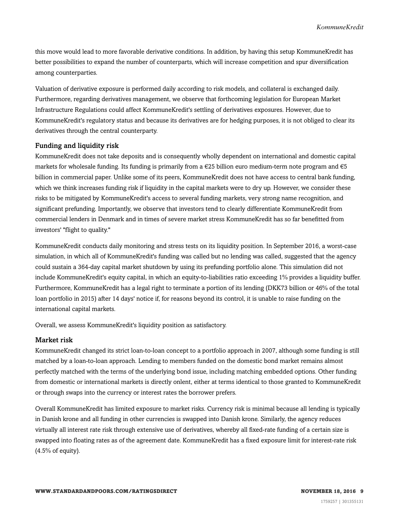this move would lead to more favorable derivative conditions. In addition, by having this setup KommuneKredit has better possibilities to expand the number of counterparts, which will increase competition and spur diversification among counterparties.

Valuation of derivative exposure is performed daily according to risk models, and collateral is exchanged daily. Furthermore, regarding derivatives management, we observe that forthcoming legislation for European Market Infrastructure Regulations could affect KommuneKredit's settling of derivatives exposures. However, due to KommuneKredit's regulatory status and because its derivatives are for hedging purposes, it is not obliged to clear its derivatives through the central counterparty.

#### Funding and liquidity risk

KommuneKredit does not take deposits and is consequently wholly dependent on international and domestic capital markets for wholesale funding. Its funding is primarily from a €25 billion euro medium-term note program and €5 billion in commercial paper. Unlike some of its peers, KommuneKredit does not have access to central bank funding, which we think increases funding risk if liquidity in the capital markets were to dry up. However, we consider these risks to be mitigated by KommuneKredit's access to several funding markets, very strong name recognition, and significant prefunding. Importantly, we observe that investors tend to clearly differentiate KommuneKredit from commercial lenders in Denmark and in times of severe market stress KommuneKredit has so far benefitted from investors' "flight to quality."

KommuneKredit conducts daily monitoring and stress tests on its liquidity position. In September 2016, a worst-case simulation, in which all of KommuneKredit's funding was called but no lending was called, suggested that the agency could sustain a 364-day capital market shutdown by using its prefunding portfolio alone. This simulation did not include KommuneKredit's equity capital, in which an equity-to-liabilities ratio exceeding 1% provides a liquidity buffer. Furthermore, KommuneKredit has a legal right to terminate a portion of its lending (DKK73 billion or 46% of the total loan portfolio in 2015) after 14 days' notice if, for reasons beyond its control, it is unable to raise funding on the international capital markets.

Overall, we assess KommuneKredit's liquidity position as satisfactory.

#### Market risk

KommuneKredit changed its strict loan-to-loan concept to a portfolio approach in 2007, although some funding is still matched by a loan-to-loan approach. Lending to members funded on the domestic bond market remains almost perfectly matched with the terms of the underlying bond issue, including matching embedded options. Other funding from domestic or international markets is directly onlent, either at terms identical to those granted to KommuneKredit or through swaps into the currency or interest rates the borrower prefers.

Overall KommuneKredit has limited exposure to market risks. Currency risk is minimal because all lending is typically in Danish krone and all funding in other currencies is swapped into Danish krone. Similarly, the agency reduces virtually all interest rate risk through extensive use of derivatives, whereby all fixed-rate funding of a certain size is swapped into floating rates as of the agreement date. KommuneKredit has a fixed exposure limit for interest-rate risk  $(4.5\% \text{ of equity}).$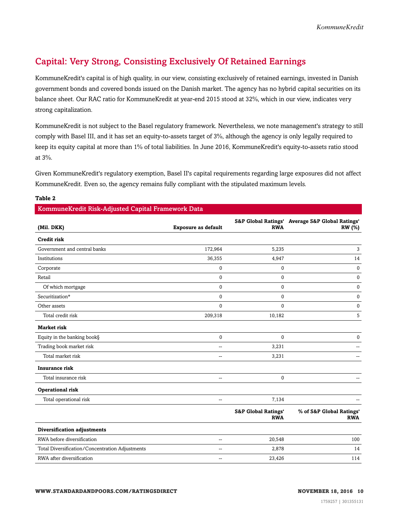# <span id="page-9-0"></span>Capital: Very Strong, Consisting Exclusively Of Retained Earnings

KommuneKredit's capital is of high quality, in our view, consisting exclusively of retained earnings, invested in Danish government bonds and covered bonds issued on the Danish market. The agency has no hybrid capital securities on its balance sheet. Our RAC ratio for KommuneKredit at year-end 2015 stood at 32%, which in our view, indicates very strong capitalization.

KommuneKredit is not subject to the Basel regulatory framework. Nevertheless, we note management's strategy to still comply with Basel III, and it has set an equity-to-assets target of 3%, although the agency is only legally required to keep its equity capital at more than 1% of total liabilities. In June 2016, KommuneKredit's equity-to-assets ratio stood at 3%.

Given KommuneKredit's regulatory exemption, Basel II's capital requirements regarding large exposures did not affect KommuneKredit. Even so, the agency remains fully compliant with the stipulated maximum levels.

| RommuneKredit Risk-Adjusted Capital Framework Data |                            |                                              |                                                                  |
|----------------------------------------------------|----------------------------|----------------------------------------------|------------------------------------------------------------------|
| (Mil. DKK)                                         | <b>Exposure as default</b> | <b>RWA</b>                                   | S&P Global Ratings' Average S&P Global Ratings'<br><b>RW</b> (%) |
| <b>Credit risk</b>                                 |                            |                                              |                                                                  |
| Government and central banks                       | 172,964                    | 5,235                                        | 3                                                                |
| Institutions                                       | 36,355                     | 4,947                                        | 14                                                               |
| Corporate                                          | $\mathbf{0}$               | $\mathbf{0}$                                 | $\mathbf{0}$                                                     |
| Retail                                             | $\pmb{0}$                  | $\bf{0}$                                     | $\bf{0}$                                                         |
| Of which mortgage                                  | $\pmb{0}$                  | $\mathbf{0}$                                 | $\mathbf{0}$                                                     |
| Securitization*                                    | $\mathbf 0$                | $\mathbf{0}$                                 | $\mathbf{0}$                                                     |
| Other assets                                       | $\mathbf 0$                | $\mathbf{0}$                                 | $\bf{0}$                                                         |
| Total credit risk                                  | 209,318                    | 10,182                                       | 5                                                                |
| <b>Market risk</b>                                 |                            |                                              |                                                                  |
| Equity in the banking book§                        | $\pmb{0}$                  | $\mathbf{0}$                                 | $\mathbf{0}$                                                     |
| Trading book market risk                           | --                         | 3,231                                        |                                                                  |
| Total market risk                                  | $\overline{a}$             | 3,231                                        |                                                                  |
| <b>Insurance risk</b>                              |                            |                                              |                                                                  |
| Total insurance risk                               | $\overline{a}$             | $\mathbf 0$                                  |                                                                  |
| <b>Operational risk</b>                            |                            |                                              |                                                                  |
| Total operational risk                             | $\overline{a}$             | 7,134                                        |                                                                  |
|                                                    |                            | <b>S&amp;P Global Ratings'</b><br><b>RWA</b> | % of S&P Global Ratings'<br><b>RWA</b>                           |
| Diversification adjustments                        |                            |                                              |                                                                  |
| RWA before diversification                         | --                         | 20,548                                       | 100                                                              |
| Total Diversification/Concentration Adjustments    | --                         | 2,878                                        | 14                                                               |
| RWA after diversification                          | --                         | 23,426                                       | 114                                                              |
|                                                    |                            |                                              |                                                                  |

#### **Table 2**

#### KommuneKredit Risk-Adjusted Capital Framework Data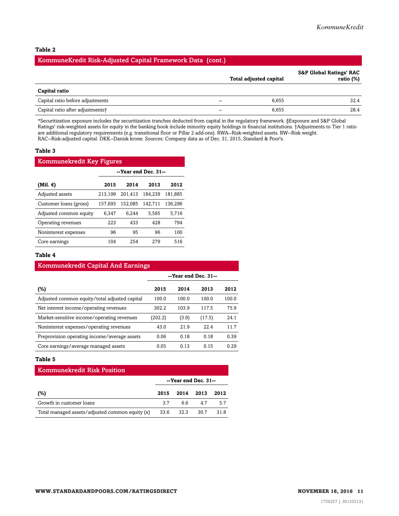#### **Table 2**

#### KommuneKredit Risk-Adjusted Capital Framework Data (cont.)

|                                              |        | Total adjusted capital | <b>S&amp;P Global Ratings' RAC</b><br>ratio (%) |
|----------------------------------------------|--------|------------------------|-------------------------------------------------|
| Capital ratio                                |        |                        |                                                 |
| Capital ratio before adjustments             | $- -$  | 6.655                  | 32.4                                            |
| Capital ratio after adjustments <sup>+</sup> | $\sim$ | 6,655                  | 28.4                                            |

\*Securitization exposure includes the securitization tranches deducted from capital in the regulatory framework. §Exposure and S&P Global Ratings' risk-weighted assets for equity in the banking book include minority equity holdings in financial institutions. †Adjustments to Tier 1 ratio are additional regulatory requirements (e.g. transitional floor or Pillar 2 add-ons). RWA--Risk-weighted assets. RW--Risk weight. RAC--Risk-adjusted capital. DKK--Danisk krone. Sources: Company data as of Dec. 31, 2015, Standard & Poor's.

#### **Table 3**

| <b>Kommunekredit Key Figures</b> |                      |         |         |         |  |
|----------------------------------|----------------------|---------|---------|---------|--|
|                                  | --Year end Dec. 31-- |         |         |         |  |
| (Mil. €)                         | 2015                 | 2014    | 2013    | 2012    |  |
| Adjusted assets                  | 213.199              | 201.413 | 184.239 | 181.885 |  |
| Customer loans (gross)           | 157.693              | 152.085 | 142.711 | 136,296 |  |
| Adjusted common equity           | 6.347                | 6.244   | 5.595   | 5.716   |  |
| Operating revenues               | 223                  | 433     | 428     | 794     |  |
| Noninterest expenses             | 96                   | 95      | 96      | 100     |  |
| Core earnings                    | 104                  | 254     | 279     | 516     |  |

 $K<sub>ommun</sub>alsradit Canital And E<sub>on</sub>$ 

#### **Table 4**

| <u>KUMMURKI CUIT CAPITAI ANU BAI MILES</u>    |                      |       |        |       |  |
|-----------------------------------------------|----------------------|-------|--------|-------|--|
|                                               | --Year end Dec. 31-- |       |        |       |  |
| (%)                                           | 2015                 | 2014  | 2013   | 2012  |  |
| Adjusted common equity/total adjusted capital | 100.0                | 100.0 | 100.0  | 100.0 |  |
| Net interest income/operating revenues        | 302.2                | 103.9 | 117.5  | 75.9  |  |
| Market-sensitive income/operating revenues    | (202.2)              | (3.9) | (17.5) | 24.1  |  |
| Noninterest expenses/operating revenues       | 43.0                 | 21.9  | 22.4   | 11.7  |  |
| Preprovision operating income/average assets  | 0.06                 | 0.18  | 0.18   | 0.39  |  |
| Core earnings/average managed assets          | 0.05                 | 0.13  | 0.15   | 0.29  |  |

#### **Table 5**

| <b>Kommunekredit Risk Position</b>              |      |      |                      |      |
|-------------------------------------------------|------|------|----------------------|------|
|                                                 |      |      | --Year end Dec. 31-- |      |
| (%)                                             | 2015 | 2014 | 2013                 | 2012 |
| Growth in customer loans                        | 3.7  | 66   | 47                   | 5.7  |
| Total managed assets/adjusted common equity (x) | 33.6 | 32.3 | 30.7                 | 31.8 |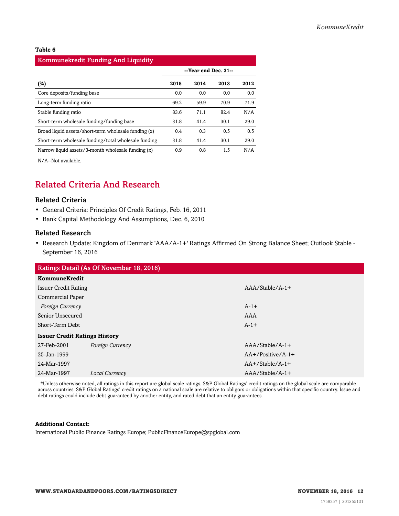#### **Table 6**

| <b>Kommunekredit Funding And Liquidity</b>           |                      |      |      |      |  |
|------------------------------------------------------|----------------------|------|------|------|--|
|                                                      | --Year end Dec. 31-- |      |      |      |  |
| $(\%)$                                               | 2015                 | 2014 | 2013 | 2012 |  |
| Core deposits/funding base                           | 0.0                  | 0.0  | 0.0  | 0.0  |  |
| Long-term funding ratio                              | 69.2                 | 59.9 | 70.9 | 71.9 |  |
| Stable funding ratio                                 | 83.6                 | 71.1 | 82.4 | N/A  |  |
| Short-term wholesale funding/funding base            | 31.8                 | 41.4 | 30.1 | 29.0 |  |
| Broad liquid assets/short-term wholesale funding (x) | 0.4                  | 0.3  | 0.5  | 0.5  |  |
| Short-term wholesale funding/total wholesale funding | 31.8                 | 41.4 | 30.1 | 29.0 |  |
| Narrow liquid assets/3-month wholesale funding (x)   | 0.9                  | 0.8  | 1.5  | N/A  |  |

<span id="page-11-0"></span>N/A--Not available.

# Related Criteria And Research

#### Related Criteria

- General Criteria: Principles Of Credit Ratings, Feb. 16, 2011
- Bank Capital Methodology And Assumptions, Dec. 6, 2010

#### Related Research

• Research Update: Kingdom of Denmark 'AAA/A-1+' Ratings Affirmed On Strong Balance Sheet; Outlook Stable - September 16, 2016

| Ratings Detail (As Of November 18, 2016) |                         |                     |  |  |
|------------------------------------------|-------------------------|---------------------|--|--|
| <b>KommuneKredit</b>                     |                         |                     |  |  |
| <b>Issuer Credit Rating</b>              |                         | $AA/Stable/A-1+$    |  |  |
| Commercial Paper                         |                         |                     |  |  |
| Foreign Currency                         |                         | $A-1+$              |  |  |
| Senior Unsecured                         |                         | AAA                 |  |  |
| Short-Term Debt                          |                         | $A-1+$              |  |  |
| <b>Issuer Credit Ratings History</b>     |                         |                     |  |  |
| 27-Feb-2001                              | <b>Foreign Currency</b> | $AA/Stable/A-1+$    |  |  |
| 25-Jan-1999                              |                         | $AA+/Positive/A-1+$ |  |  |
| 24-Mar-1997                              |                         | $AA+/Stable/A-1+$   |  |  |
| 24-Mar-1997                              | Local Currency          | $AAA/Stable/A-1+$   |  |  |
|                                          |                         |                     |  |  |

\*Unless otherwise noted, all ratings in this report are global scale ratings. S&P Global Ratings' credit ratings on the global scale are comparable across countries. S&P Global Ratings' credit ratings on a national scale are relative to obligors or obligations within that specific country. Issue and debt ratings could include debt guaranteed by another entity, and rated debt that an entity guarantees.

#### **Additional Contact:**

International Public Finance Ratings Europe; PublicFinanceEurope@spglobal.com